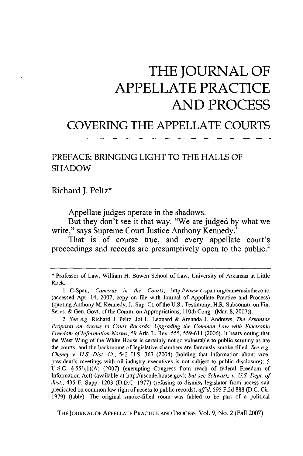## **THE JOURNAL OF APPELLATE PRACTICE AND PROCESS**

## **COVERING** THE **APPELLATE COURTS**

## PREFACE: **BRINGING** LIGHT TO THE **HALLS** OF SHADOW

Richard **J.** Peltz\*

Appellate judges operate in the shadows.

But they don't see it that way. "We are judged by what we write," says Supreme Court Justice Anthony Kennedy.

That is of course true, and every appellate court's proceedings and records are presumptively open to the public.<sup>2</sup>

THE JOURNAL OF APPELLATE PRACTICE AND PROCESS Vol. **9,** No. 2 (Fall 2007)

<sup>\*</sup> Professor of Law, William H. Bowen School of Law, University of Arkansas at Little Rock.

<sup>1.</sup> C-Span, *Cameras in the Courts,* http://www.c-span.org/camerasinthecourt (accessed Apr. 14, 2007; copy on file with Journal of Appellate Practice and Process) (quoting Anthony M. Kennedy, J., Sup. Ct. of the U.S., Testimony, H.R. Subcomm. on Fin. Servs. & Gen. Govt. of the Comm. on Appropriations, 110th Cong. (Mar. 8, 2007)).

*<sup>2.</sup> See e.g.* Richard J. Peltz, Joi L. Leonard & Amanda J. Andrews, *The Arkansas Proposal on Access to Court Records. Upgrading the Common Law with Electronic Freedom of Information Norms,* 59 Ark. L. Rev. 555, 559-611 (2006). It bears noting that the West Wing of the White House is certainly not so vulnerable to public scrutiny as are the courts, and the backrooms of legislative chambers are famously smoke filled. *See e.g. Cheney v. U.S. Dist. Ct.,* 542 U.S. 367 (2004) (holding that information about vicepresident's meetings with oil-industry executives is not subject to public disclosure); 5 U.S.C. § 551(1)(A) (2007) (exempting Congress from reach of federal Freedom of Information Act) (available at http://uscode.house.gov); *but see Schwartz v. U.S. Dept. of Just.,* 435 F. Supp. 1203 (D.D.C. 1977) (refusing to dismiss legislator from access suit predicated on common law right of access to public records), *affid,* 595 F.2d 888 (D.C. Cir. 1979) (table). The original smoke-filled room was fabled to be part of a political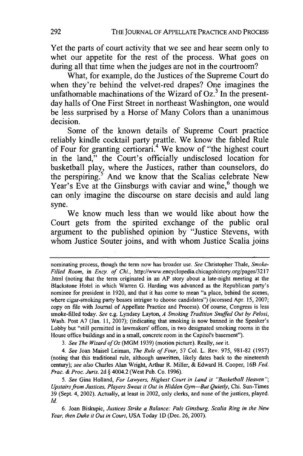Yet the parts of court activity that we see and hear seem only to whet our appetite for the rest of the process. What goes on during all that time when the judges are not in the courtroom?

What, for example, do the Justices of the Supreme Court do when they're behind the velvet-red drapes? One imagines the unfathomable machinations of the Wizard of  $Oz<sup>3</sup>$  In the presentday halls of One First Street in northeast Washington, one would be less surprised **by** a Horse of Many Colors than a unanimous decision.

Some of the known details of Supreme Court practice reliably kindle cocktail party prattle. We know the fabled Rule of Four for granting certiorari.<sup>4</sup> We know of "the highest court in the land," the Court's officially undisclosed location for basketball play, where the Justices, rather than counselors, do the perspiring.5 And we know that the Scalias celebrate New Year's Eve at the Ginsburgs with caviar and wine,<sup>6</sup> though we can only imagine the discourse on stare decisis and auld lang syne.

We know much less than we would like about how the Court gets from the spirited exchange of the public oral argument to the published opinion **by** "Justice Stevens, with whom Justice Souter joins, and with whom Justice Scalia joins

*3. See The Wizard of Oz* (MGM 1939) (motion picture). Really, *see* it.

*4. See* Joan Maisel Leiman, *The Rule of Four,* 57 Col. L. Rev. 975, 981-82 (1957) (noting that this traditional rule, although unwritten, likely dates back to the nineteenth century); *see also* Charles Alan Wright, Arthur R. Miller, & Edward H. Cooper, 16B *Fed. Prac. & Proc. Juris.* 2d **§** 4004.2 (West Pub. Co. 1996).

*5. See* Gina Holland, *For Lawyers, Highest Court in Land is "Basketball Heaven "; Upstairs from Justices, Players Sweat it Out in Hidden Gym-But Quietly,* Chi. Sun-Times 39 (Sept. 4, 2002). Actually, at least in 2002, only clerks, and none of the justices, played. *Id.*

6. Joan Biskupic, *Justices Strike a Balance: Pals Ginsburg, Scalia Ring in the New Year, then Duke it Out in Court,* USA Today 1D (Dec. 26, 2007).

nominating process, though the term now has broader use. *See* Christopher Thale, *Smoke-Filled Room, in Ency. of Chi.,* http://www.encyclopedia.chicagohistory.org/pages/3217 .html (noting that the term originated in an AP story about a late-night meeting at the Blackstone Hotel in which Warren G. Harding was advanced as the Republican party's nominee for president in 1920, and that it has come to mean "a place, behind the scenes, where cigar-smoking party bosses intrigue to choose candidates") (accessed Apr. 15, 2007; copy on file with Journal of Appellate Practice and Process). Of course, Congress is less smoke-filled today. *See* e.g. Lyndsey Layton, *A Smoking Tradition Snuffed Out by Pelosi,* Wash. Post A7 (Jan. 11, 2007); (indicating that smoking is now banned in the Speaker's Lobby but "still permitted in lawmakers' offices, in two designated smoking rooms in the House office buildings and in a small, concrete room in the Capitol's basement").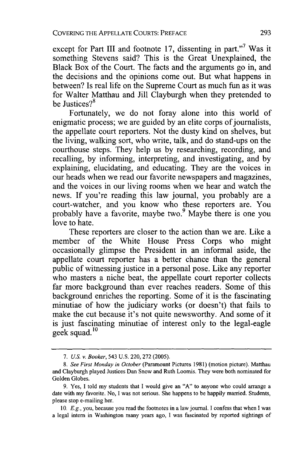except for Part III and footnote 17, dissenting in part."<sup>7</sup> Was it something Stevens said? This is the Great Unexplained, the Black Box of the Court. The facts and the arguments go in, and the decisions and the opinions come out. But what happens in between? Is real life on the Supreme Court as much fun as it was for Walter Matthau and Jill Clayburgh when they pretended to be Justices?<sup>8</sup>

Fortunately, we do not foray alone into this world of enigmatic process; we are guided by an elite corps of journalists, the appellate court reporters. Not the dusty kind on shelves, but the living, walking sort, who write, talk, and do stand-ups on the courthouse steps. They help us by researching, recording, and recalling, by informing, interpreting, and investigating, and by explaining, elucidating, and educating. They are the voices in our heads when we read our favorite newspapers and magazines, and the voices in our living rooms when we hear and watch the news. If you're reading this law journal, you probably are a court-watcher, and you know who these reporters are. You probably have a favorite, maybe two.<sup>9</sup> Maybe there is one you love to hate.

These reporters are closer to the action than we are. Like a member of the White House Press Corps who might occasionally glimpse the President in an informal aside, the appellate court reporter has a better chance than the general public of witnessing justice in a personal pose. Like any reporter who masters a niche beat, the appellate court reporter collects far more background than ever reaches readers. Some of this background enriches the reporting. Some of it is the fascinating minutiae of how the judiciary works (or doesn't) that fails to make the cut because it's not quite newsworthy. And some of it is just fascinating minutiae of interest only to the legal-eagle geek squad.<sup>10</sup>

<sup>7.</sup> *US. v.* Booker, 543 U.S. 220, 272 (2005).

<sup>8.</sup> *See First Monday in October* (Paramount Pictures 1981) (motion picture). Matthau and Clayburgh played Justices Dan Snow and Ruth Loomis. They were both nominated for Golden Globes.

<sup>9.</sup> Yes, I told my students that I would give an "A" to anyone who could arrange a date with my favorite. No, I was not serious. She happens to be happily married. Students, please stop e-mailing her.

*<sup>10,</sup> E.g.,* you, because you read the footnotes in a law journal. I confess that when I was a legal intern in Washington many years ago, I was fascinated by reported sightings of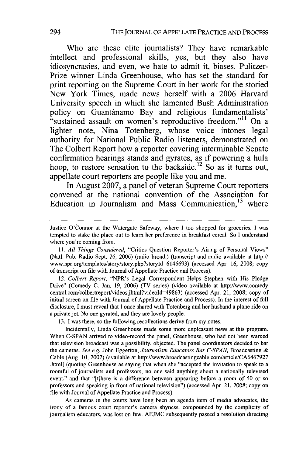Who are these elite journalists? They have remarkable intellect and professional skills, yes, but they also have idiosyncrasies, and even, we hate to admit it, biases. Pulitzer-Prize winner Linda Greenhouse, who has set the standard for print reporting on the Supreme Court in her work for the storied New York Times, made news herself with a **2006** Harvard University speech in which she lamented Bush Administration policy on Guantánamo Bay and religious fundamentalists' "sustained assault on women's reproductive freedom."<sup>11</sup> On a lighter note, Nina Totenberg, whose voice intones legal authority for National Public Radio listeners, demonstrated on The Colbert Report how a reporter covering interminable Senate confirmation hearings stands and gyrates, as if powering a hula hoop, to restore sensation to the backside.<sup>12</sup> So as it turns out, appellate court reporters are people like you and me.

In August **2007,** a panel of veteran Supreme Court reporters convened at the national convention of the Association for Education in Journalism and Mass Communication.<sup>13</sup> where

12. *Colbert Report,* "NPR's Legal Correspondent Helps Stephen with His Pledge Drive" (Comedy C. Jan. 19, 2006) (TV series) (video available at http://www.comedy central.com/colbertreport/videos.jhtml?videold=49863) (accessed Apr. 21, 2008; copy of initial screen on file with Journal of Appellate Practice and Process). In the interest of full disclosure, I must reveal that I once shared with Totenberg and her husband a plane ride on a private jet. No one gyrated, and they are lovely people.

13. I was there, so the following recollections derive from my notes.

Incidentally, Linda Greenhouse made some more unpleasant news at this program. When C-SPAN arrived to video-record the panel, Greenhouse, who had not been warned that television broadcast was a possibility, objected. The panel coordinators decided to bar the cameras. *See e.g.* John Eggerton, *Journalism Educators Bar C-SPAN,* Broadcasting & Cable (Aug. 10, 2007) (available at http://www.broadcastingcable.com/article/CA6467927 .html) (quoting Greenhouse as saying that when she "accepted the invitation to speak to a roomful of journalists and professors, no one said anything about a nationally televised event," and that "[t]here is a difference between appearing before a room of 50 or so professors and speaking in front of national television") (accessed Apr. 21, 2008; copy on file with Journal of Appellate Practice and Process).

As cameras in the courts have long been an agenda item of media advocates, the irony of a famous court reporter's camera shyness, compounded by the complicity of journalism educators, was lost on few. AEJMC subsequently passed a resolution directing

Justice O'Connor at the Watergate Safeway, where I too shopped for groceries. I was tempted to stake the place out to learn her preference in breakfast cereal. So I understand where you're coming from.

*<sup>11.</sup> All Things Considered,* "Critics Question Reporter's Airing of Personal Views" (Natl. Pub. Radio Sept. 26, 2006) (radio broad.) (transcript and audio available at http:// www.npr.org/templates/story/story.php?storyld=6146693) (accessed Apr. 16, 2008; copy of transcript on file with Journal of Appellate Practice and Process).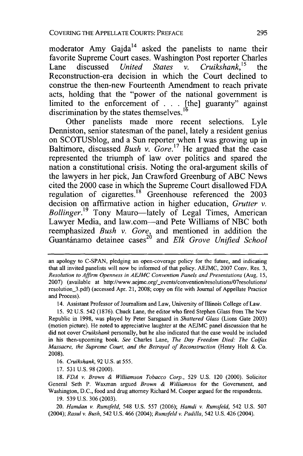moderator Amy Gajda<sup>14</sup> asked the panelists to name their favorite Supreme Court cases. Washington Post reporter Charles Lane discussed *United States* v. Cruikshank,<sup>15</sup> the Reconstruction-era decision in which the Court declined to construe the then-new Fourteenth Amendment to reach private acts, holding that the "power of the national government is limited to the enforcement of . . . [the] guaranty" against discrimination **by** the states themselves.

Other panelists made more recent selections. Lyle Denniston, senior statesman of the panel, lately a resident genius on **SCOTUSblog,** and a Sun reporter when **I** was growing up in Baltimore, discussed *Bush v. Gore*.<sup>17</sup> He argued that the case represented the triumph of law over politics and spared the nation a constitutional crisis. Noting the oral-argument skills of the lawyers in her pick, Jan Crawford Greenburg of **ABC** News cited the 2000 case in which the Supreme Court disallowed **FDA** regulation of cigarettes.<sup>18</sup> Greenhouse referenced the 2003 decision on affirmative action in higher education, *Grutter v. Bollinger.19* Tony Mauro-lately of Legal Times, American Lawyer Media, and law.com-and Pete Williams of **NBC** both reemphasized *Bush v. Gore,* and mentioned in addition the Guantdnamo detainee cases 2° and *Elk Grove Unified School*

14. Assistant Professor of Journalism and Law, University of Illinois College of Law.

15. 92 U.S. 542 (1876). Chuck Lane, the editor who fired Stephen Glass from The New Republic in 1998, was played by Peter Sarsgaard in *Shattered Glass* (Lions Gate 2003) (motion picture). He noted to appreciative laughter at the AEJMC panel discussion that he did not cover *Cruikshank* personally, but he also indicated that the case would be included in his then-upcoming book. *See* Charles Lane, *The Day Freedom Died: The Colfax Massacre, the Supreme Court, and the Betrayal of Reconstruction* (Henry Holt & Co. 2008).

*16. Cruikshank,* 92 U.S. at 555.

17. 531 U.S. 98 (2000).

18. *FDA v. Brown & Williamson Tobacco Corp.,* 529 U.S. 120 (2000). Solicitor General Seth P. Waxman argued *Brown & Williamson* for the Government, and Washington, D.C., food and drug attorney Richard M. Cooper argued for the respondents.

19. 539 U.S. 306 (2003).

20. *Hamdan v. Rumsfeld,* 548 U.S. 557 (2006); *Hamdi v. Runsfeld,* 542 U.S. 507 (2004); *Rasul v. Bush,* 542 U.S. 466 (2004); *Rumsfeld v. Padilla,* 542 U.S. 426 (2004).

an apology to C-SPAN, pledging an open-coverage policy for the future, and indicating that all invited panelists will now be informed of that policy. AEJMC, 2007 Cony. Res. 3, *Resolution to Affirm Openness in AEJMC Convention Panels and Presentations* (Aug. 15, 2007) (available at http://www.aejmc.org/\_events/convention/resolutions/07resolutions/ resolution\_3.pdf) (accessed Apr. 21, 2008; copy on file with Journal of Appellate Practice and Process).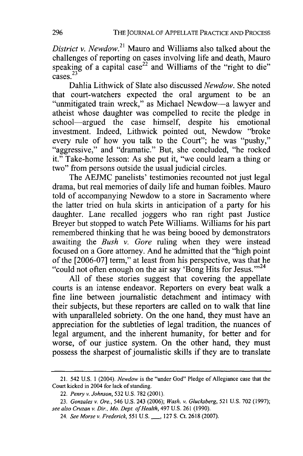*District v. Newdow.*<sup>21</sup> Mauro and Williams also talked about the challenges of reporting on cases involving life and death, Mauro speaking of a capital case<sup>22</sup> and Williams of the "right to die"  $cases$ <sup>23</sup>

Dahlia Lithwick of Slate also discussed *Newdow*. She noted that court-watchers expected the oral argument to be an "unmitigated train wreck," as Michael Newdow-a lawyer and atheist whose daughter was compelled to recite the pledge in school-argued the case himself, despite his emotional investment. Indeed, Lithwick pointed out, Newdow "broke every rule of how you talk to the Court"; he was "pushy," "aggressive," and "dramatic." But, she concluded, "he rocked it." Take-home lesson: As she put it, "we could learn a thing or two" from persons outside the usual judicial circles.

The AEJMC panelists' testimonies recounted not just legal drama, but real memories of daily life and human foibles. Mauro told of accompanying Newdow to a store in Sacramento where the latter tried on hula skirts in anticipation of a party for his daughter. Lane recalled joggers who ran right past Justice Breyer but stopped to watch Pete Williams. Williams for his part remembered thinking that he was being booed by demonstrators awaiting the *Bush v. Gore* ruling when they were instead focused on a Gore attorney. And he admitted that the "high point of the [2006-07] term," at least from his perspective, was that he "could not often enough on the air say 'Bong Hits for Jesus."<sup>24</sup>

All of these stories suggest that covering the appellate courts is an intense endeavor. Reporters on every beat walk a fine line between journalistic detachment and intimacy with their subjects, but these reporters are called on to walk that line with unparalleled sobriety. On the one hand, they must have an appreciation for the subtleties of legal tradition, the nuances of legal argument, and the inherent humanity, for better and for worse, of our justice system. On the other hand, they must possess the sharpest of journalistic skills if they are to translate

<sup>21. 542</sup> U.S. 1 (2004). *Newdow* is the "under God" Pledge of Allegiance case that the Court kicked in 2004 for lack of standing.

<sup>22.</sup> *Penry v. Johnson,* 532 U.S. 782 (2001).

<sup>23.</sup> *Gonzales v. Ore.,* 546 U.S. 243 (2006); Wash. *v. Glucksberg,* 521 U.S. 702 (1997); *see also Cruzan v. Dir., Mo. Dept. of Health,* 497 U.S. 261 (1990).

<sup>24.</sup> *See Morse v. Frederick, 551* **U.S. \_,** 127 S. Ct. 2618 (2007).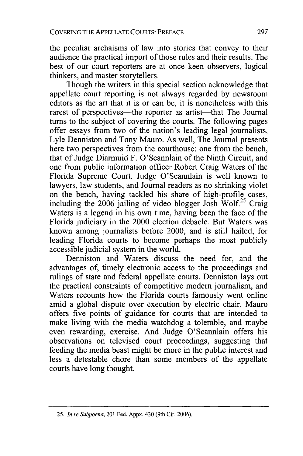the peculiar archaisms of law into stories that convey to their audience the practical import of those rules and their results. The best of our court reporters are at once keen observers, logical thinkers, and master storytellers.

Though the writers in this special section acknowledge that appellate court reporting is not always regarded by newsroom editors as the art that it is or can be, it is nonetheless with this rarest of perspectives—the reporter as artist—that The Journal turns to the subject of covering the courts. The following pages offer essays from two of the nation's leading legal journalists, Lyle Denniston and Tony Mauro. As well, The Journal presents here two perspectives from the courthouse: one from the bench, that of Judge Diarmuid F. O'Scannlain of the Ninth Circuit, and one from public information officer Robert Craig Waters of the Florida Supreme Court. Judge O'Scannlain is well known to lawyers, law students, and Journal readers as no shrinking violet on the bench, having tackled his share of high-profile cases, including the  $2006$  jailing of video blogger Josh Wolf.<sup>25</sup> Craig Waters is a legend in his own time, having been the face of the Florida judiciary in the 2000 election debacle. But Waters was known among journalists before 2000, and is still hailed, for leading Florida courts to become perhaps the most publicly accessible judicial system in the world.

Denniston and Waters discuss the need for, and the advantages of, timely electronic access to the proceedings and rulings of state and federal appellate courts. Denniston lays out the practical constraints of competitive modern journalism, and Waters recounts how the Florida courts famously went online amid a global dispute over execution by electric chair. Mauro offers five points of guidance for courts that are intended to make living with the media watchdog a tolerable, and maybe even rewarding, exercise. And Judge O'Scannlain offers his observations on televised court proceedings, suggesting that feeding the media beast might be more in the public interest and less a detestable chore than some members of the appellate courts have long thought.

<sup>25.</sup> *In re Subpoena,* 201 Fed. Appx. 430 (9th Cir. 2006).